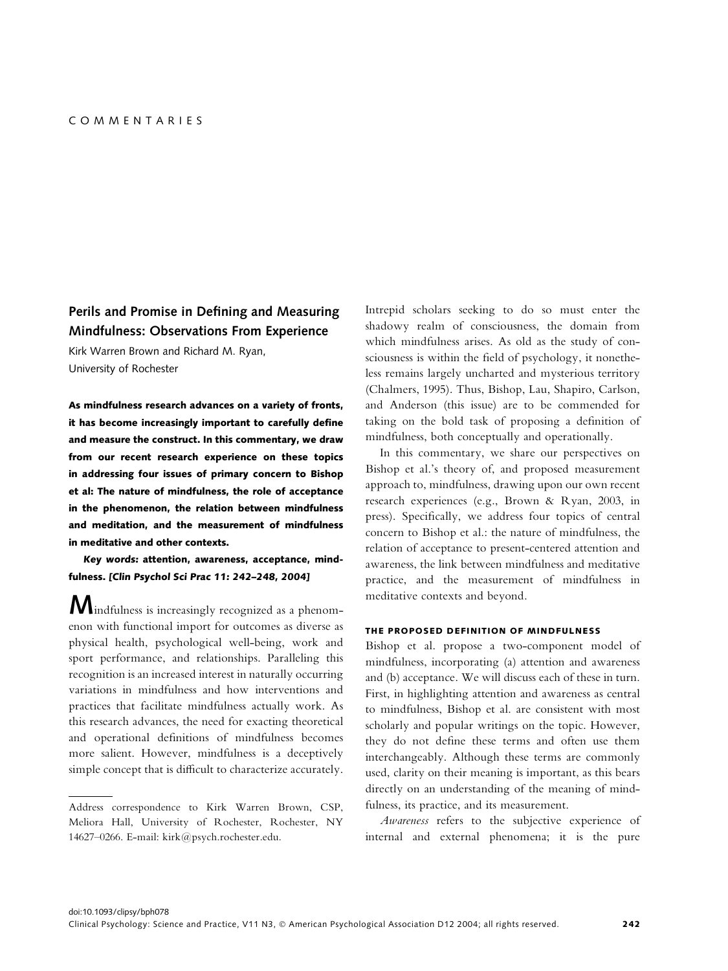# Perils and Promise in Defining and Measuring Mindfulness: Observations From Experience

Kirk Warren Brown and Richard M. Ryan, University of Rochester

As mindfulness research advances on a variety of fronts, it has become increasingly important to carefully define and measure the construct. In this commentary, we draw from our recent research experience on these topics in addressing four issues of primary concern to Bishop et al: The nature of mindfulness, the role of acceptance in the phenomenon, the relation between mindfulness and meditation, and the measurement of mindfulness in meditative and other contexts.

Key words: attention, awareness, acceptance, mindfulness. [Clin Psychol Sci Prac 11: 242–248, 2004]

Mindfulness is increasingly recognized as a phenomenon with functional import for outcomes as diverse as physical health, psychological well-being, work and sport performance, and relationships. Paralleling this recognition is an increased interest in naturally occurring variations in mindfulness and how interventions and practices that facilitate mindfulness actually work. As this research advances, the need for exacting theoretical and operational definitions of mindfulness becomes more salient. However, mindfulness is a deceptively simple concept that is difficult to characterize accurately. Intrepid scholars seeking to do so must enter the shadowy realm of consciousness, the domain from which mindfulness arises. As old as the study of consciousness is within the field of psychology, it nonetheless remains largely uncharted and mysterious territory (Chalmers, 1995). Thus, Bishop, Lau, Shapiro, Carlson, and Anderson (this issue) are to be commended for taking on the bold task of proposing a definition of mindfulness, both conceptually and operationally.

In this commentary, we share our perspectives on Bishop et al.'s theory of, and proposed measurement approach to, mindfulness, drawing upon our own recent research experiences (e.g., Brown & Ryan, 2003, in press). Specifically, we address four topics of central concern to Bishop et al.: the nature of mindfulness, the relation of acceptance to present-centered attention and awareness, the link between mindfulness and meditative practice, and the measurement of mindfulness in meditative contexts and beyond.

#### THE PROPOSED DEFINITION OF MINDFULNESS

Bishop et al. propose a two-component model of mindfulness, incorporating (a) attention and awareness and (b) acceptance. We will discuss each of these in turn. First, in highlighting attention and awareness as central to mindfulness, Bishop et al. are consistent with most scholarly and popular writings on the topic. However, they do not define these terms and often use them interchangeably. Although these terms are commonly used, clarity on their meaning is important, as this bears directly on an understanding of the meaning of mindfulness, its practice, and its measurement.

Awareness refers to the subjective experience of internal and external phenomena; it is the pure

Address correspondence to Kirk Warren Brown, CSP, Meliora Hall, University of Rochester, Rochester, NY 14627–0266. E-mail: kirk@psych.rochester.edu.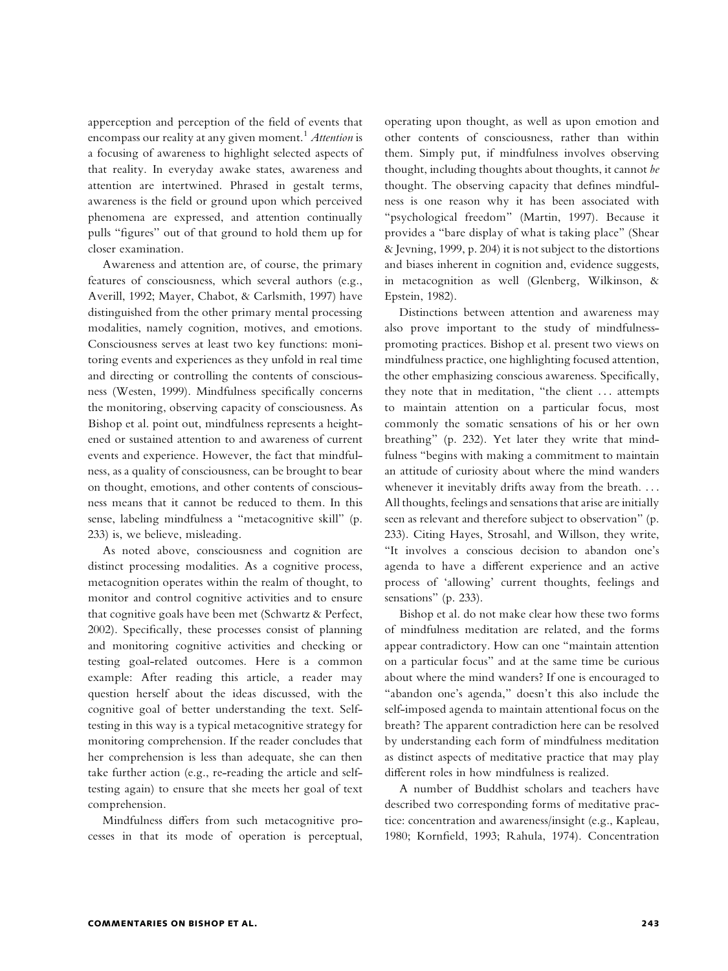apperception and perception of the field of events that encompass our reality at any given moment.<sup>1</sup> Attention is a focusing of awareness to highlight selected aspects of that reality. In everyday awake states, awareness and attention are intertwined. Phrased in gestalt terms, awareness is the field or ground upon which perceived phenomena are expressed, and attention continually pulls ''figures'' out of that ground to hold them up for closer examination.

Awareness and attention are, of course, the primary features of consciousness, which several authors (e.g., Averill, 1992; Mayer, Chabot, & Carlsmith, 1997) have distinguished from the other primary mental processing modalities, namely cognition, motives, and emotions. Consciousness serves at least two key functions: monitoring events and experiences as they unfold in real time and directing or controlling the contents of consciousness (Westen, 1999). Mindfulness specifically concerns the monitoring, observing capacity of consciousness. As Bishop et al. point out, mindfulness represents a heightened or sustained attention to and awareness of current events and experience. However, the fact that mindfulness, as a quality of consciousness, can be brought to bear on thought, emotions, and other contents of consciousness means that it cannot be reduced to them. In this sense, labeling mindfulness a ''metacognitive skill'' (p. 233) is, we believe, misleading.

As noted above, consciousness and cognition are distinct processing modalities. As a cognitive process, metacognition operates within the realm of thought, to monitor and control cognitive activities and to ensure that cognitive goals have been met (Schwartz & Perfect, 2002). Specifically, these processes consist of planning and monitoring cognitive activities and checking or testing goal-related outcomes. Here is a common example: After reading this article, a reader may question herself about the ideas discussed, with the cognitive goal of better understanding the text. Selftesting in this way is a typical metacognitive strategy for monitoring comprehension. If the reader concludes that her comprehension is less than adequate, she can then take further action (e.g., re-reading the article and selftesting again) to ensure that she meets her goal of text comprehension.

Mindfulness differs from such metacognitive processes in that its mode of operation is perceptual, operating upon thought, as well as upon emotion and other contents of consciousness, rather than within them. Simply put, if mindfulness involves observing thought, including thoughts about thoughts, it cannot be thought. The observing capacity that defines mindfulness is one reason why it has been associated with ''psychological freedom'' (Martin, 1997). Because it provides a ''bare display of what is taking place'' (Shear & Jevning, 1999, p. 204) it is not subject to the distortions and biases inherent in cognition and, evidence suggests, in metacognition as well (Glenberg, Wilkinson, & Epstein, 1982).

Distinctions between attention and awareness may also prove important to the study of mindfulnesspromoting practices. Bishop et al. present two views on mindfulness practice, one highlighting focused attention, the other emphasizing conscious awareness. Specifically, they note that in meditation, ''the client ... attempts to maintain attention on a particular focus, most commonly the somatic sensations of his or her own breathing'' (p. 232). Yet later they write that mindfulness ''begins with making a commitment to maintain an attitude of curiosity about where the mind wanders whenever it inevitably drifts away from the breath. ... All thoughts, feelings and sensations that arise are initially seen as relevant and therefore subject to observation'' (p. 233). Citing Hayes, Strosahl, and Willson, they write, ''It involves a conscious decision to abandon one's agenda to have a different experience and an active process of 'allowing' current thoughts, feelings and sensations'' (p. 233).

Bishop et al. do not make clear how these two forms of mindfulness meditation are related, and the forms appear contradictory. How can one ''maintain attention on a particular focus'' and at the same time be curious about where the mind wanders? If one is encouraged to "abandon one's agenda," doesn't this also include the self-imposed agenda to maintain attentional focus on the breath? The apparent contradiction here can be resolved by understanding each form of mindfulness meditation as distinct aspects of meditative practice that may play different roles in how mindfulness is realized.

A number of Buddhist scholars and teachers have described two corresponding forms of meditative practice: concentration and awareness/insight (e.g., Kapleau, 1980; Kornfield, 1993; Rahula, 1974). Concentration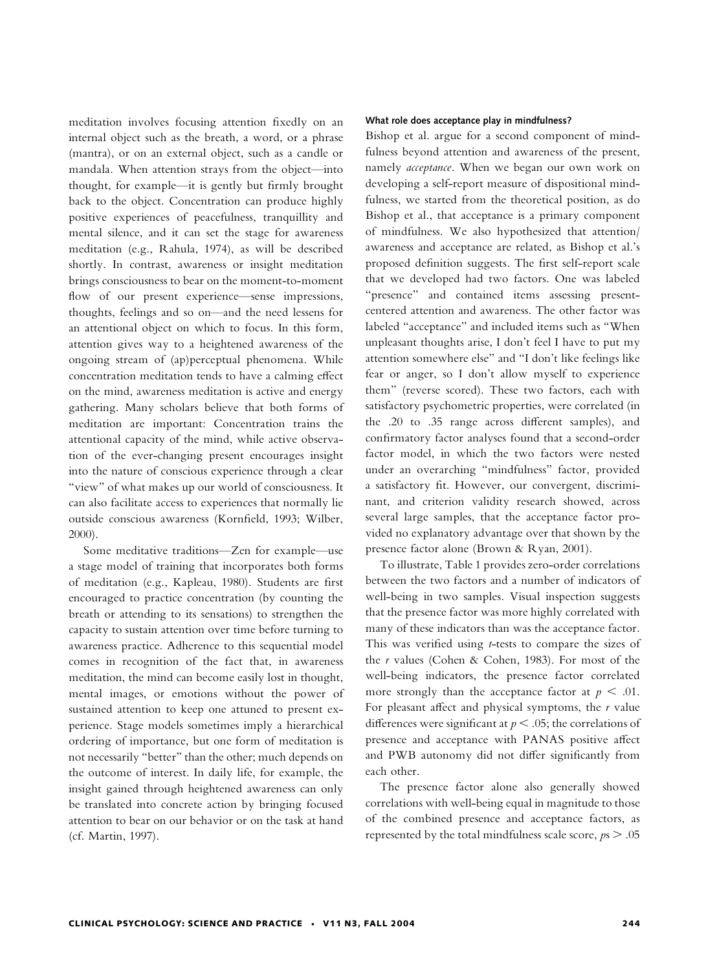meditation involves focusing attention fixedly on an internal object such as the breath, a word, or a phrase (mantra), or on an external object, such as a candle or mandala. When attention strays from the object—into thought, for example—it is gently but firmly brought back to the object. Concentration can produce highly positive experiences of peacefulness, tranquillity and mental silence, and it can set the stage for awareness meditation (e.g., Rahula, 1974), as will be described shortly. In contrast, awareness or insight meditation brings consciousness to bear on the moment-to-moment flow of our present experience—sense impressions, thoughts, feelings and so on—and the need lessens for an attentional object on which to focus. In this form, attention gives way to a heightened awareness of the ongoing stream of (ap)perceptual phenomena. While concentration meditation tends to have a calming effect on the mind, awareness meditation is active and energy gathering. Many scholars believe that both forms of meditation are important: Concentration trains the attentional capacity of the mind, while active observation of the ever-changing present encourages insight into the nature of conscious experience through a clear ''view'' of what makes up our world of consciousness. It can also facilitate access to experiences that normally lie outside conscious awareness (Kornfield, 1993; Wilber, 2000).

Some meditative traditions—Zen for example—use a stage model of training that incorporates both forms of meditation (e.g., Kapleau, 1980). Students are first encouraged to practice concentration (by counting the breath or attending to its sensations) to strengthen the capacity to sustain attention over time before turning to awareness practice. Adherence to this sequential model comes in recognition of the fact that, in awareness meditation, the mind can become easily lost in thought, mental images, or emotions without the power of sustained attention to keep one attuned to present experience. Stage models sometimes imply a hierarchical ordering of importance, but one form of meditation is not necessarily ''better'' than the other; much depends on the outcome of interest. In daily life, for example, the insight gained through heightened awareness can only be translated into concrete action by bringing focused attention to bear on our behavior or on the task at hand (cf. Martin, 1997).

#### What role does acceptance play in mindfulness?

Bishop et al. argue for a second component of mindfulness beyond attention and awareness of the present, namely *acceptance*. When we began our own work on developing a self-report measure of dispositional mindfulness, we started from the theoretical position, as do Bishop et al., that acceptance is a primary component of mindfulness. We also hypothesized that attention/ awareness and acceptance are related, as Bishop et al.'s proposed definition suggests. The first self-report scale that we developed had two factors. One was labeled "presence" and contained items assessing presentcentered attention and awareness. The other factor was labeled ''acceptance'' and included items such as ''When unpleasant thoughts arise, I don't feel I have to put my attention somewhere else'' and ''I don't like feelings like fear or anger, so I don't allow myself to experience them'' (reverse scored). These two factors, each with satisfactory psychometric properties, were correlated (in the .20 to .35 range across different samples), and confirmatory factor analyses found that a second-order factor model, in which the two factors were nested under an overarching ''mindfulness'' factor, provided a satisfactory fit. However, our convergent, discriminant, and criterion validity research showed, across several large samples, that the acceptance factor provided no explanatory advantage over that shown by the presence factor alone (Brown & Ryan, 2001).

To illustrate, Table 1 provides zero-order correlations between the two factors and a number of indicators of well-being in two samples. Visual inspection suggests that the presence factor was more highly correlated with many of these indicators than was the acceptance factor. This was verified using *t*-tests to compare the sizes of the <sup>r</sup> values (Cohen & Cohen, 1983). For most of the well-being indicators, the presence factor correlated more strongly than the acceptance factor at  $p < .01$ . For pleasant affect and physical symptoms, the  $r$  value differences were significant at  $p < .05$ ; the correlations of presence and acceptance with PANAS positive affect and PWB autonomy did not differ significantly from each other.

The presence factor alone also generally showed correlations with well-being equal in magnitude to those of the combined presence and acceptance factors, as represented by the total mindfulness scale score,  $ps > .05$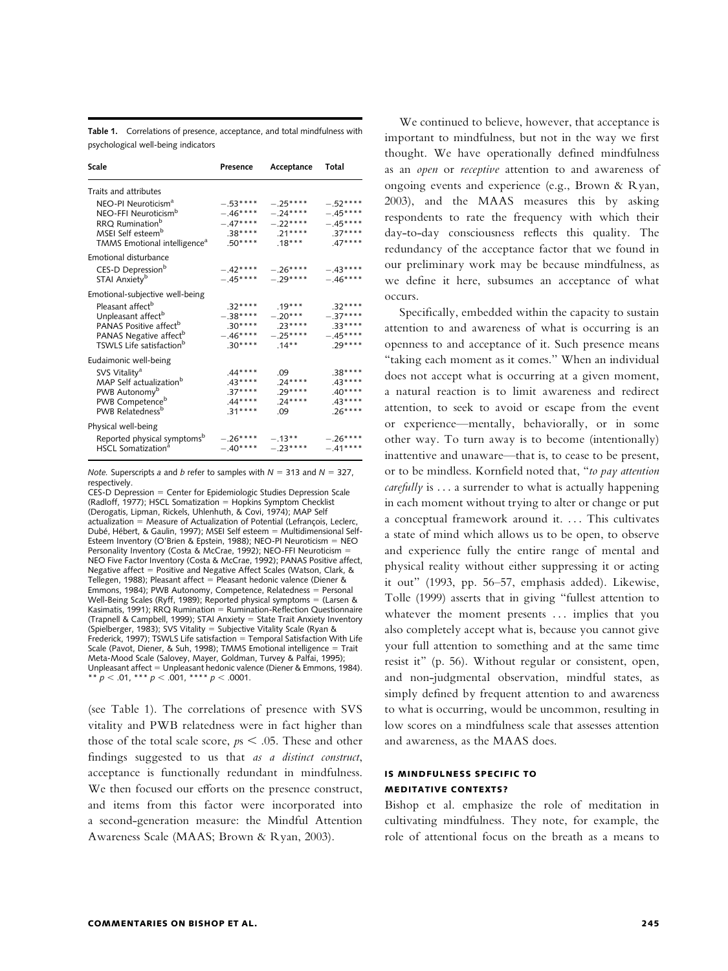Table 1. Correlations of presence, acceptance, and total mindfulness with psychological well-being indicators

| Scale                                    | Presence  | Acceptance | Total     |
|------------------------------------------|-----------|------------|-----------|
| Traits and attributes                    |           |            |           |
| NEO-PI Neuroticism <sup>a</sup>          | $-.53***$ | $-.25***$  | $-.52***$ |
| NEO-FFI Neuroticism <sup>b</sup>         | $-.46***$ | $-.24***$  | $-.45***$ |
| RRQ Rumination <sup>b</sup>              | $-.47***$ | $-.22***$  | $-.45***$ |
| MSEI Self esteem <sup>b</sup>            | $.38***$  | $.21***$   | $.37***$  |
| TMMS Emotional intelligence <sup>a</sup> | $.50***$  | $.18***$   | $.47***$  |
| Emotional disturbance                    |           |            |           |
| CES-D Depression <sup>b</sup>            | $-.42***$ | $-.26***$  | $-.43***$ |
| STAI Anxiety <sup>b</sup>                | $-.45***$ | $-.29***$  | $-.46***$ |
| Emotional-subjective well-being          |           |            |           |
| Pleasant affect <sup>b</sup>             | $.32***$  | $.19***$   | $.32***$  |
| Unpleasant affect <sup>b</sup>           | $-.38***$ | $-.20***$  | $-.37***$ |
| PANAS Positive affect <sup>b</sup>       | $.30***$  | $.23***$   | $.33***$  |
| PANAS Negative affect <sup>b</sup>       | $-.46***$ | $-.25***$  | $-.45***$ |
| TSWLS Life satisfaction <sup>b</sup>     | $.30***$  | .14**      | $.29***$  |
| Eudaimonic well-being                    |           |            |           |
| SVS Vitality <sup>a</sup>                | $.44***$  | .09        | $.38***$  |
| MAP Self actualization <sup>b</sup>      | $.43***$  | $.24***$   | $.43***$  |
| PWB Autonomy <sup>b</sup>                | $.37***$  | $.29***$   | $.40***$  |
| PWB Competence <sup>b</sup>              | $.44***$  | $.24***$   | $.43***$  |
| PWB Relatedness <sup>b</sup>             | $.31***$  | .09        | $.26***$  |
| Physical well-being                      |           |            |           |
| Reported physical symptoms <sup>b</sup>  | $-.26***$ | $-.13***$  | $-.26***$ |
| HSCL Somatization <sup>a</sup>           | $-.40***$ | $-.23***$  | $-.41***$ |

*Note.* Superscripts a and b refer to samples with  $N = 313$  and  $N = 327$ , respectively.

 $CES-D$  Depression = Center for Epidemiologic Studies Depression Scale (Radloff, 1977); HSCL Somatization = Hopkins Symptom Checklist (Derogatis, Lipman, Rickels, Uhlenhuth, & Covi, 1974); MAP Self  $actualization = Measure of Actualization of Potential (Lefrancois, Lecher,$ Dubé, Hébert, & Gaulin, 1997); MSEI Self esteem = Multidimensional Self-Esteem Inventory (O'Brien & Epstein, 1988); NEO-PI Neuroticism = NEO Personality Inventory (Costa & McCrae, 1992); NEO-FFI Neuroticism NEO Five Factor Inventory (Costa & McCrae, 1992); PANAS Positive affect, Negative affect = Positive and Negative Affect Scales (Watson, Clark, &<br>Tellegen, 1988); Pleasant affect = Pleasant hedonic valence (Diener & Emmons, 1984); PWB Autonomy, Competence, Relatedness  $=$  Personal Well-Being Scales (Ryff, 1989); Reported physical symptoms = (Larsen & Kasimatis, 1991); RRQ Rumination  $=$  Rumination-Reflection Questionnaire (Trapnell & Campbell, 1999); STAI Anxiety = State Trait Anxiety Inventory (Spielberger, 1983); SVS Vitality = Subjective Vitality Scale (Ryan & Frederick, 1997); TSWLS Life satisfaction  $=$  Temporal Satisfaction With Life Scale (Pavot, Diener, & Suh, 1998); TMMS Emotional intelligence = Trait Meta-Mood Scale (Salovey, Mayer, Goldman, Turvey & Palfai, 1995); Unpleasant affect = Unpleasant hedonic valence (Diener & Emmons, 1984). \*\*  $p < .01$ , \*\*\*  $p < .001$ , \*\*\*\*  $p < .0001$ .

(see Table 1). The correlations of presence with SVS vitality and PWB relatedness were in fact higher than those of the total scale score,  $p_s < .05$ . These and other findings suggested to us that as <sup>a</sup> distinct construct, acceptance is functionally redundant in mindfulness. We then focused our efforts on the presence construct, and items from this factor were incorporated into a second-generation measure: the Mindful Attention Awareness Scale (MAAS; Brown & Ryan, 2003).

We continued to believe, however, that acceptance is important to mindfulness, but not in the way we first thought. We have operationally defined mindfulness as an open or receptive attention to and awareness of ongoing events and experience (e.g., Brown & Ryan, 2003), and the MAAS measures this by asking respondents to rate the frequency with which their day-to-day consciousness reflects this quality. The redundancy of the acceptance factor that we found in our preliminary work may be because mindfulness, as we define it here, subsumes an acceptance of what occurs.

Specifically, embedded within the capacity to sustain attention to and awareness of what is occurring is an openness to and acceptance of it. Such presence means ''taking each moment as it comes.'' When an individual does not accept what is occurring at a given moment, a natural reaction is to limit awareness and redirect attention, to seek to avoid or escape from the event or experience—mentally, behaviorally, or in some other way. To turn away is to become (intentionally) inattentive and unaware—that is, to cease to be present, or to be mindless. Kornfield noted that, ''to pay attention *carefully* is  $\ldots$  a surrender to what is actually happening in each moment without trying to alter or change or put a conceptual framework around it. ... This cultivates a state of mind which allows us to be open, to observe and experience fully the entire range of mental and physical reality without either suppressing it or acting it out'' (1993, pp. 56–57, emphasis added). Likewise, Tolle (1999) asserts that in giving ''fullest attention to whatever the moment presents ... implies that you also completely accept what is, because you cannot give your full attention to something and at the same time resist it'' (p. 56). Without regular or consistent, open, and non-judgmental observation, mindful states, as simply defined by frequent attention to and awareness to what is occurring, would be uncommon, resulting in low scores on a mindfulness scale that assesses attention and awareness, as the MAAS does.

### IS MINDFULNESS SPECIFIC TO MEDITATIVE CONTEXTS?

Bishop et al. emphasize the role of meditation in cultivating mindfulness. They note, for example, the role of attentional focus on the breath as a means to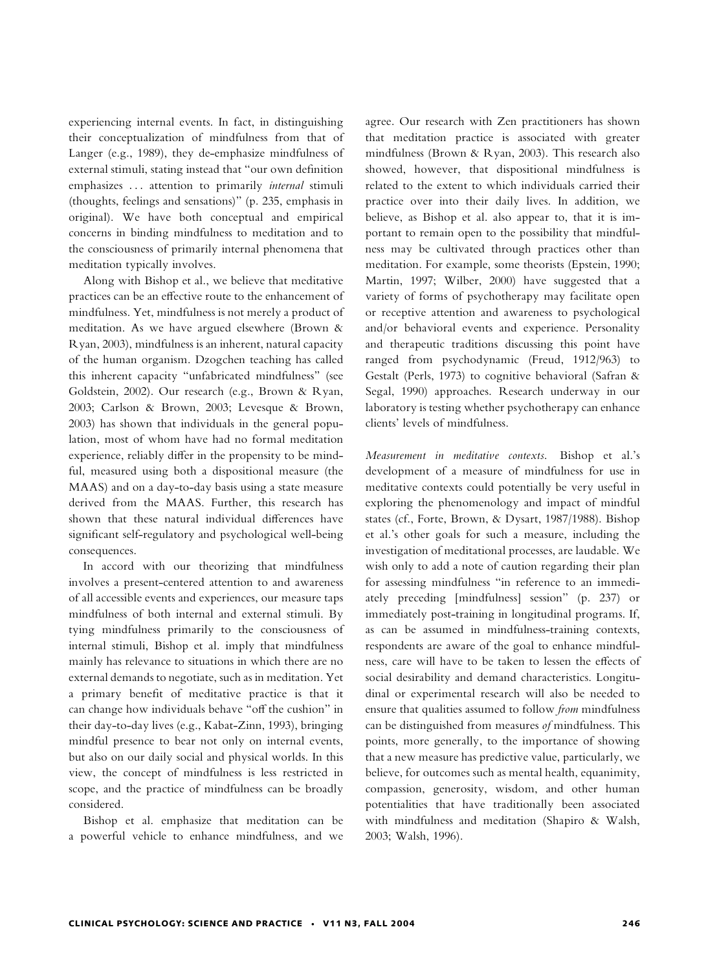experiencing internal events. In fact, in distinguishing their conceptualization of mindfulness from that of Langer (e.g., 1989), they de-emphasize mindfulness of external stimuli, stating instead that ''our own definition emphasizes ... attention to primarily *internal* stimuli (thoughts, feelings and sensations)'' (p. 235, emphasis in original). We have both conceptual and empirical concerns in binding mindfulness to meditation and to the consciousness of primarily internal phenomena that meditation typically involves.

Along with Bishop et al., we believe that meditative practices can be an effective route to the enhancement of mindfulness. Yet, mindfulness is not merely a product of meditation. As we have argued elsewhere (Brown & Ryan, 2003), mindfulness is an inherent, natural capacity of the human organism. Dzogchen teaching has called this inherent capacity ''unfabricated mindfulness'' (see Goldstein, 2002). Our research (e.g., Brown & Ryan, 2003; Carlson & Brown, 2003; Levesque & Brown, 2003) has shown that individuals in the general population, most of whom have had no formal meditation experience, reliably differ in the propensity to be mindful, measured using both a dispositional measure (the MAAS) and on a day-to-day basis using a state measure derived from the MAAS. Further, this research has shown that these natural individual differences have significant self-regulatory and psychological well-being consequences.

In accord with our theorizing that mindfulness involves a present-centered attention to and awareness of all accessible events and experiences, our measure taps mindfulness of both internal and external stimuli. By tying mindfulness primarily to the consciousness of internal stimuli, Bishop et al. imply that mindfulness mainly has relevance to situations in which there are no external demands to negotiate, such as in meditation. Yet a primary benefit of meditative practice is that it can change how individuals behave ''off the cushion'' in their day-to-day lives (e.g., Kabat-Zinn, 1993), bringing mindful presence to bear not only on internal events, but also on our daily social and physical worlds. In this view, the concept of mindfulness is less restricted in scope, and the practice of mindfulness can be broadly considered.

Bishop et al. emphasize that meditation can be a powerful vehicle to enhance mindfulness, and we

agree. Our research with Zen practitioners has shown that meditation practice is associated with greater mindfulness (Brown & Ryan, 2003). This research also showed, however, that dispositional mindfulness is related to the extent to which individuals carried their practice over into their daily lives. In addition, we believe, as Bishop et al. also appear to, that it is important to remain open to the possibility that mindfulness may be cultivated through practices other than meditation. For example, some theorists (Epstein, 1990; Martin, 1997; Wilber, 2000) have suggested that a variety of forms of psychotherapy may facilitate open or receptive attention and awareness to psychological and/or behavioral events and experience. Personality and therapeutic traditions discussing this point have ranged from psychodynamic (Freud, 1912/963) to Gestalt (Perls, 1973) to cognitive behavioral (Safran & Segal, 1990) approaches. Research underway in our laboratory is testing whether psychotherapy can enhance clients' levels of mindfulness.

Measurement in meditative contexts. Bishop et al.'s development of a measure of mindfulness for use in meditative contexts could potentially be very useful in exploring the phenomenology and impact of mindful states (cf., Forte, Brown, & Dysart, 1987/1988). Bishop et al.'s other goals for such a measure, including the investigation of meditational processes, are laudable. We wish only to add a note of caution regarding their plan for assessing mindfulness ''in reference to an immediately preceding [mindfulness] session'' (p. 237) or immediately post-training in longitudinal programs. If, as can be assumed in mindfulness-training contexts, respondents are aware of the goal to enhance mindfulness, care will have to be taken to lessen the effects of social desirability and demand characteristics. Longitudinal or experimental research will also be needed to ensure that qualities assumed to follow from mindfulness can be distinguished from measures of mindfulness. This points, more generally, to the importance of showing that a new measure has predictive value, particularly, we believe, for outcomes such as mental health, equanimity, compassion, generosity, wisdom, and other human potentialities that have traditionally been associated with mindfulness and meditation (Shapiro & Walsh, 2003; Walsh, 1996).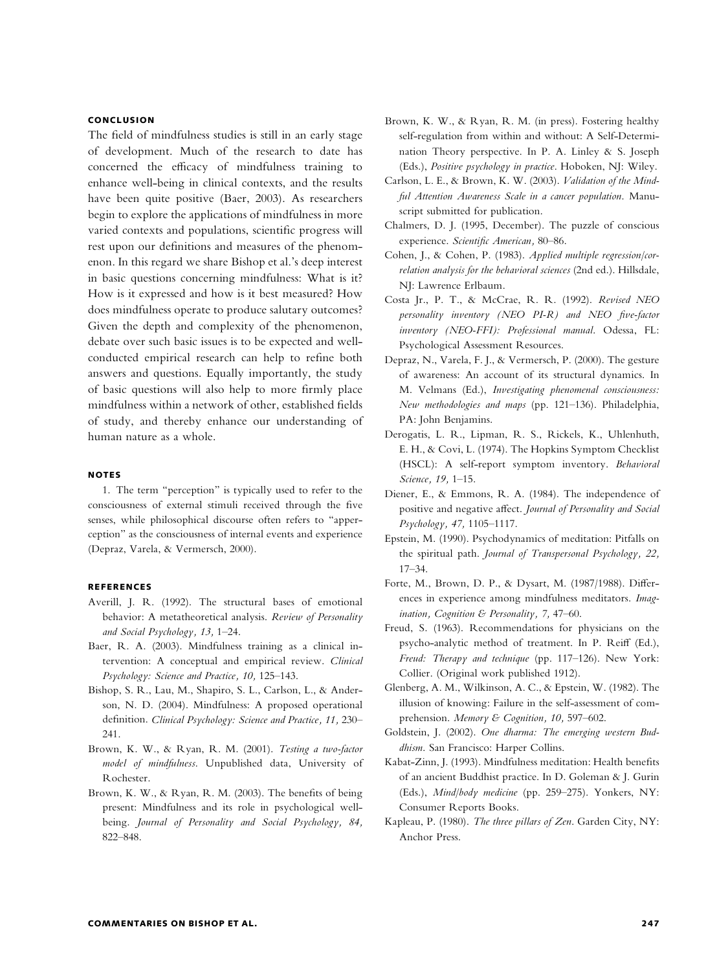## **CONCLUSION**

The field of mindfulness studies is still in an early stage of development. Much of the research to date has concerned the efficacy of mindfulness training to enhance well-being in clinical contexts, and the results have been quite positive (Baer, 2003). As researchers begin to explore the applications of mindfulness in more varied contexts and populations, scientific progress will rest upon our definitions and measures of the phenomenon. In this regard we share Bishop et al.'s deep interest in basic questions concerning mindfulness: What is it? How is it expressed and how is it best measured? How does mindfulness operate to produce salutary outcomes? Given the depth and complexity of the phenomenon, debate over such basic issues is to be expected and wellconducted empirical research can help to refine both answers and questions. Equally importantly, the study of basic questions will also help to more firmly place mindfulness within a network of other, established fields of study, and thereby enhance our understanding of human nature as a whole.

#### NOTES

1. The term ''perception'' is typically used to refer to the consciousness of external stimuli received through the five senses, while philosophical discourse often refers to ''apperception'' as the consciousness of internal events and experience (Depraz, Varela, & Vermersch, 2000).

#### REFERENCES

- Averill, J. R. (1992). The structural bases of emotional behavior: A metatheoretical analysis. Review of Personality and Social Psychology, 13, 1–24.
- Baer, R. A. (2003). Mindfulness training as a clinical intervention: A conceptual and empirical review. Clinical Psychology: Science and Practice, 10, 125–143.
- Bishop, S. R., Lau, M., Shapiro, S. L., Carlson, L., & Anderson, N. D. (2004). Mindfulness: A proposed operational definition. Clinical Psychology: Science and Practice, 11, 230– 241.
- Brown, K. W., & Ryan, R. M. (2001). Testing <sup>a</sup> two-factor model of mindfulness. Unpublished data, University of Rochester.
- Brown, K. W., & Ryan, R. M. (2003). The benefits of being present: Mindfulness and its role in psychological wellbeing. Journal of Personality and Social Psychology, 84, 822–848.
- Brown, K. W., & Ryan, R. M. (in press). Fostering healthy self-regulation from within and without: A Self-Determination Theory perspective. In P. A. Linley & S. Joseph (Eds.), Positive psychology in practice. Hoboken, NJ: Wiley.
- Carlson, L. E., & Brown, K. W. (2003). Validation of the Mindful Attention Awareness Scale in <sup>a</sup> cancer population. Manuscript submitted for publication.
- Chalmers, D. J. (1995, December). The puzzle of conscious experience. Scientific American, 80–86.
- Cohen, J., & Cohen, P. (1983). Applied multiple regression/correlation analysis for the behavioral sciences (2nd ed.). Hillsdale, NJ: Lawrence Erlbaum.
- Costa Jr., P. T., & McCrae, R. R. (1992). Revised NEO personality inventory (NEO PI-R) and NEO five-factor inventory (NEO-FFI): Professional manual. Odessa, FL: Psychological Assessment Resources.
- Depraz, N., Varela, F. J., & Vermersch, P. (2000). The gesture of awareness: An account of its structural dynamics. In M. Velmans (Ed.), Investigating <sup>p</sup>henomenal consciousness: New methodologies and maps (pp. 121–136). Philadelphia, PA: John Benjamins.
- Derogatis, L. R., Lipman, R. S., Rickels, K., Uhlenhuth, E. H., & Covi, L. (1974). The Hopkins Symptom Checklist (HSCL): A self-report symptom inventory. Behavioral Science, 19, 1–15.
- Diener, E., & Emmons, R. A. (1984). The independence of positive and negative affect. Journal of Personality and Social Psychology, 47, 1105–1117.
- Epstein, M. (1990). Psychodynamics of meditation: Pitfalls on the spiritual path. Journal of Transpersonal Psychology, 22, 17–34.
- Forte, M., Brown, D. P., & Dysart, M. (1987/1988). Differences in experience among mindfulness meditators. Imagination, Cognition & Personality, 7, 47–60.
- Freud, S. (1963). Recommendations for physicians on the psycho-analytic method of treatment. In P. Reiff (Ed.), Freud: Therapy and technique (pp. 117–126). New York: Collier. (Original work published 1912).
- Glenberg, A. M., Wilkinson, A. C., & Epstein, W. (1982). The illusion of knowing: Failure in the self-assessment of comprehension. Memory & Cognition, 10, 597-602.
- Goldstein, J. (2002). One dharma: The emerging western Buddhism. San Francisco: Harper Collins.
- Kabat-Zinn, J. (1993). Mindfulness meditation: Health benefits of an ancient Buddhist practice. In D. Goleman & J. Gurin (Eds.), Mind/body medicine (pp. 259–275). Yonkers, NY: Consumer Reports Books.
- Kapleau, P. (1980). The three <sup>p</sup>illars of Zen. Garden City, NY: Anchor Press.